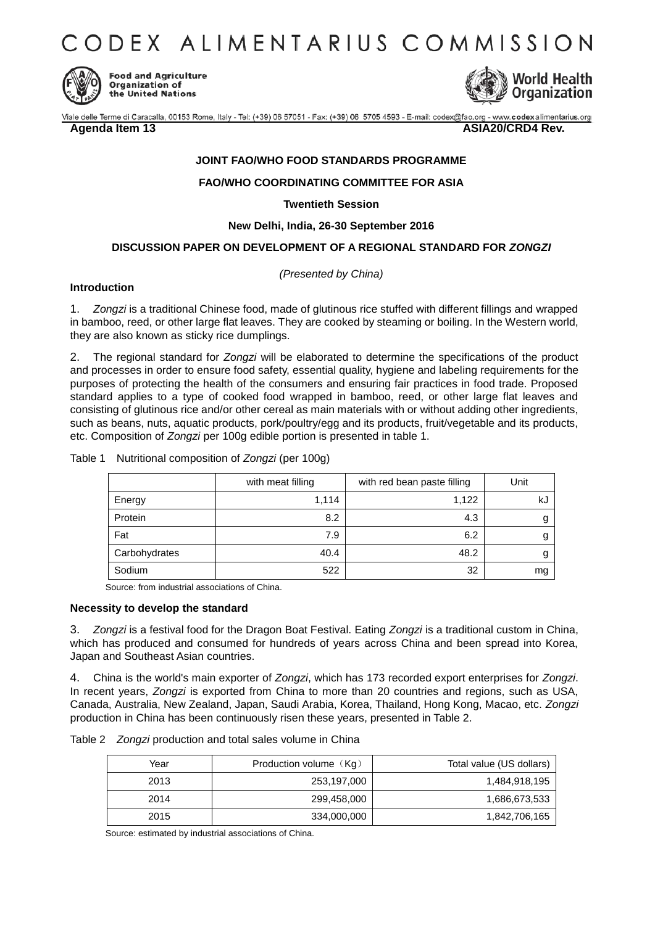CODEX ALIMENTARIUS COMMISSION



**Food and Agriculture** Organization of the United Nations



Viale delle Terme di Caracalla, 00153 Rome, Italy - Tel: (+39) 06 57051 - Fax: (+39) 06 5705 4593 - E-mail: codex@fao.org - www.codexalimentarius.org

**Agenda Item 13** ASIA20/CRD4 Rev.

# **JOINT FAO/WHO FOOD STANDARDS PROGRAMME**

## **FAO/WHO COORDINATING COMMITTEE FOR ASIA**

**Twentieth Session**

## **New Delhi, India, 26-30 September 2016**

# **DISCUSSION PAPER ON DEVELOPMENT OF A REGIONAL STANDARD FOR** *ZONGZI*

*(Presented by China)* 

### **Introduction**

1. *Zongzi* is a traditional Chinese food, made of glutinous rice stuffed with different fillings and wrapped in bamboo, reed, or other large flat leaves. They are cooked by steaming or boiling. In the Western world, they are also known as sticky rice dumplings.

2. The regional standard for *Zongzi* will be elaborated to determine the specifications of the product and processes in order to ensure food safety, essential quality, hygiene and labeling requirements for the purposes of protecting the health of the consumers and ensuring fair practices in food trade. Proposed standard applies to a type of cooked food wrapped in bamboo, reed, or other large flat leaves and consisting of glutinous rice and/or other cereal as main materials with or without adding other ingredients, such as beans, nuts, aquatic products, pork/poultry/egg and its products, fruit/vegetable and its products, etc. Composition of *Zongzi* per 100g edible portion is presented in table 1.

|               | with meat filling | with red bean paste filling | Unit |
|---------------|-------------------|-----------------------------|------|
| Energy        | 1,114             | 1,122                       | kJ   |
| Protein       | 8.2               | 4.3                         |      |
| Fat           | 7.9               | 6.2                         |      |
| Carbohydrates | 40.4              | 48.2                        |      |
| Sodium        | 522               | 32                          | mg   |

Table 1 Nutritional composition of *Zongzi* (per 100g)

Source: from industrial associations of China.

### **Necessity to develop the standard**

3. *Zongzi* is a festival food for the Dragon Boat Festival. Eating *Zongzi* is a traditional custom in China, which has produced and consumed for hundreds of years across China and been spread into Korea, Japan and Southeast Asian countries.

4. China is the world's main exporter of *Zongzi*, which has 173 recorded export enterprises for *Zongzi*. In recent years, *Zongzi* is exported from China to more than 20 countries and regions, such as USA, Canada, Australia, New Zealand, Japan, Saudi Arabia, Korea, Thailand, Hong Kong, Macao, etc. *Zongzi* production in China has been continuously risen these years, presented in Table 2.

|  | Table 2 Zongzi production and total sales volume in China |  |  |  |
|--|-----------------------------------------------------------|--|--|--|
|--|-----------------------------------------------------------|--|--|--|

| Year | Production volume (Kg) | Total value (US dollars) |
|------|------------------------|--------------------------|
| 2013 | 253,197,000            | 1,484,918,195            |
| 2014 | 299,458,000            | 1,686,673,533            |
| 2015 | 334,000,000            | 1,842,706,165            |

Source: estimated by industrial associations of China.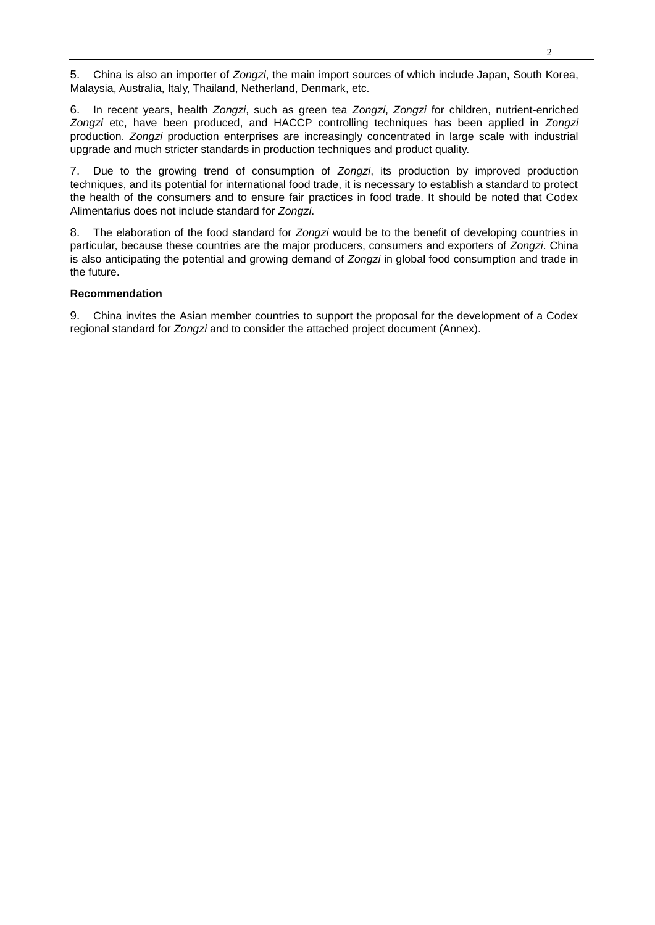5. China is also an importer of *Zongzi*, the main import sources of which include Japan, South Korea, Malaysia, Australia, Italy, Thailand, Netherland, Denmark, etc.

6. In recent years, health *Zongzi*, such as green tea *Zongzi*, *Zongzi* for children, nutrient-enriched *Zongzi* etc, have been produced, and HACCP controlling techniques has been applied in *Zongzi* production. *Zongzi* production enterprises are increasingly concentrated in large scale with industrial upgrade and much stricter standards in production techniques and product quality.

7. Due to the growing trend of consumption of *Zongzi*, its production by improved production techniques, and its potential for international food trade, it is necessary to establish a standard to protect the health of the consumers and to ensure fair practices in food trade. It should be noted that Codex Alimentarius does not include standard for *Zongzi*.

8. The elaboration of the food standard for *Zongzi* would be to the benefit of developing countries in particular, because these countries are the major producers, consumers and exporters of *Zongzi*. China is also anticipating the potential and growing demand of *Zongzi* in global food consumption and trade in the future.

## **Recommendation**

9. China invites the Asian member countries to support the proposal for the development of a Codex regional standard for *Zongzi* and to consider the attached project document (Annex).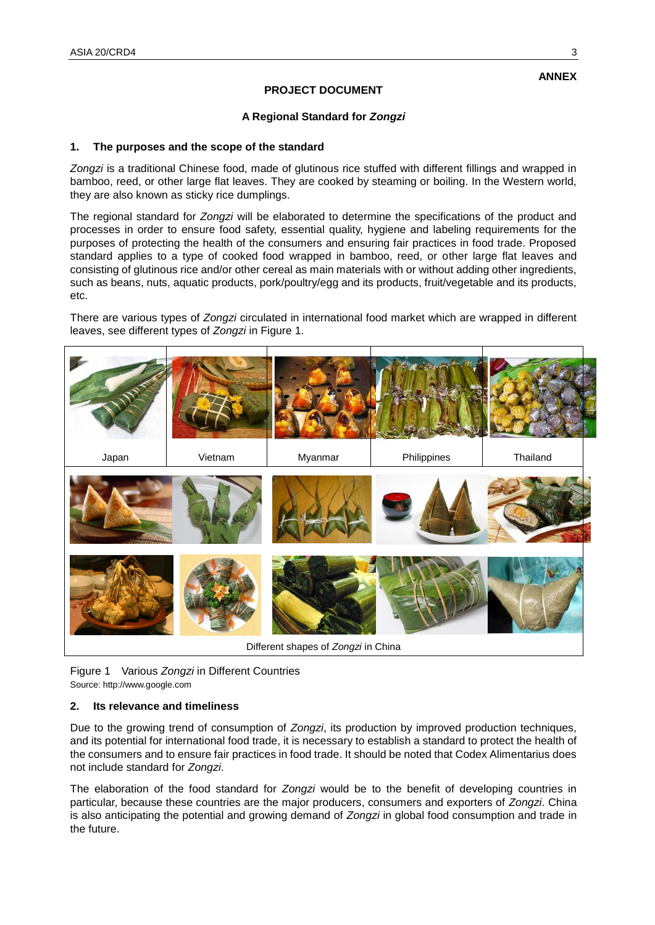# **ANNEX**

# **PROJECT DOCUMENT**

## **A Regional Standard for** *Zongzi*

### **1. The purposes and the scope of the standard**

*Zongzi* is a traditional Chinese food, made of glutinous rice stuffed with different fillings and wrapped in bamboo, reed, or other large flat leaves. They are cooked by steaming or boiling. In the Western world, they are also known as sticky rice dumplings.

The regional standard for *Zongzi* will be elaborated to determine the specifications of the product and processes in order to ensure food safety, essential quality, hygiene and labeling requirements for the purposes of protecting the health of the consumers and ensuring fair practices in food trade. Proposed standard applies to a type of cooked food wrapped in bamboo, reed, or other large flat leaves and consisting of glutinous rice and/or other cereal as main materials with or without adding other ingredients, such as beans, nuts, aquatic products, pork/poultry/egg and its products, fruit/vegetable and its products, etc.

There are various types of *Zongzi* circulated in international food market which are wrapped in different leaves, see different types of *Zongzi* in Figure 1.



Figure 1 Various *Zongzi* in Different Countries Source: http://www.google.com

### **2. Its relevance and timeliness**

Due to the growing trend of consumption of *Zongzi*, its production by improved production techniques, and its potential for international food trade, it is necessary to establish a standard to protect the health of the consumers and to ensure fair practices in food trade. It should be noted that Codex Alimentarius does not include standard for *Zongzi*.

The elaboration of the food standard for *Zongzi* would be to the benefit of developing countries in particular, because these countries are the major producers, consumers and exporters of *Zongzi*. China is also anticipating the potential and growing demand of *Zongzi* in global food consumption and trade in the future.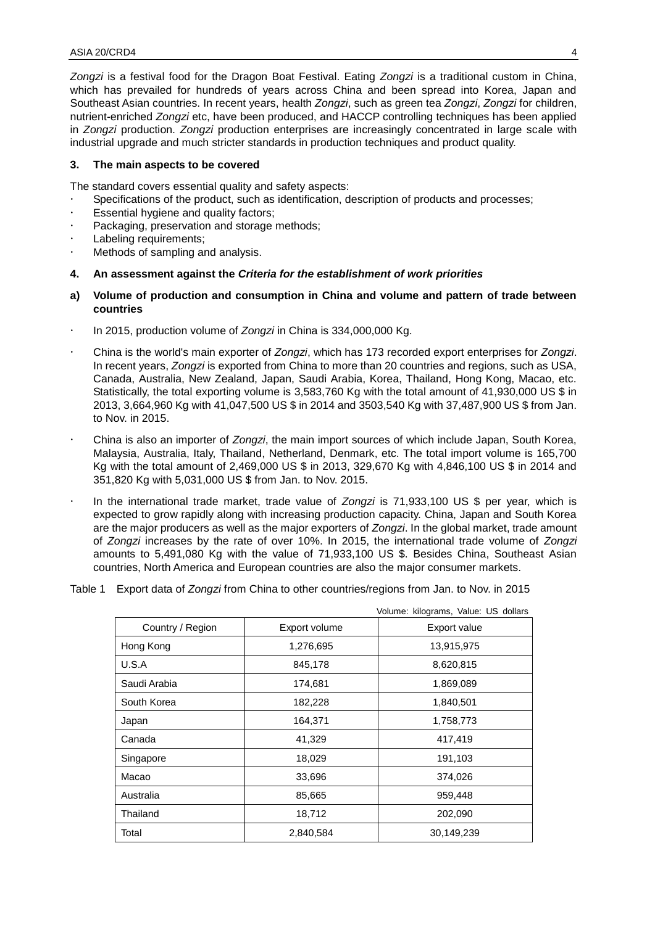*Zongzi* is a festival food for the Dragon Boat Festival. Eating *Zongzi* is a traditional custom in China, which has prevailed for hundreds of years across China and been spread into Korea, Japan and Southeast Asian countries. In recent years, health *Zongzi*, such as green tea *Zongzi*, *Zongzi* for children, nutrient-enriched *Zongzi* etc, have been produced, and HACCP controlling techniques has been applied in *Zongzi* production. *Zongzi* production enterprises are increasingly concentrated in large scale with industrial upgrade and much stricter standards in production techniques and product quality.

#### **3. The main aspects to be covered**

The standard covers essential quality and safety aspects:

- Specifications of the product, such as identification, description of products and processes;
- Essential hygiene and quality factors;
- Packaging, preservation and storage methods;
- Labeling requirements;
- Methods of sampling and analysis.

### **4. An assessment against the** *Criteria for the establishment of work priorities*

- **a) Volume of production and consumption in China and volume and pattern of trade between countries**
- In 2015, production volume of *Zongzi* in China is 334,000,000 Kg.
- China is the world's main exporter of *Zongzi*, which has 173 recorded export enterprises for *Zongzi*. In recent years, *Zongzi* is exported from China to more than 20 countries and regions, such as USA, Canada, Australia, New Zealand, Japan, Saudi Arabia, Korea, Thailand, Hong Kong, Macao, etc. Statistically, the total exporting volume is 3,583,760 Kg with the total amount of 41,930,000 US \$ in 2013, 3,664,960 Kg with 41,047,500 US \$ in 2014 and 3503,540 Kg with 37,487,900 US \$ from Jan. to Nov. in 2015.
- China is also an importer of *Zongzi*, the main import sources of which include Japan, South Korea, Malaysia, Australia, Italy, Thailand, Netherland, Denmark, etc. The total import volume is 165,700 Kg with the total amount of 2,469,000 US \$ in 2013, 329,670 Kg with 4,846,100 US \$ in 2014 and 351,820 Kg with 5,031,000 US \$ from Jan. to Nov. 2015.
- In the international trade market, trade value of *Zongzi* is 71,933,100 US \$ per year, which is expected to grow rapidly along with increasing production capacity. China, Japan and South Korea are the major producers as well as the major exporters of *Zongzi*. In the global market, trade amount of *Zongzi* increases by the rate of over 10%. In 2015, the international trade volume of *Zongzi* amounts to 5,491,080 Kg with the value of 71,933,100 US \$. Besides China, Southeast Asian countries, North America and European countries are also the major consumer markets.
- Table 1 Export data of *Zongzi* from China to other countries/regions from Jan. to Nov. in 2015

|                  |               | Volume: kilograms, Value: US dollars |
|------------------|---------------|--------------------------------------|
| Country / Region | Export volume | Export value                         |
| Hong Kong        | 1,276,695     | 13,915,975                           |
| U.S.A            | 845,178       | 8,620,815                            |
| Saudi Arabia     | 174,681       | 1,869,089                            |
| South Korea      | 182,228       | 1,840,501                            |
| Japan            | 164,371       | 1,758,773                            |
| Canada           | 41,329        | 417,419                              |
| Singapore        | 18,029        | 191,103                              |
| Macao            | 33,696        | 374,026                              |
| Australia        | 85,665        | 959,448                              |
| Thailand         | 18,712        | 202,090                              |
| Total            | 2,840,584     | 30,149,239                           |

Volume: kilograms, Value: US dollars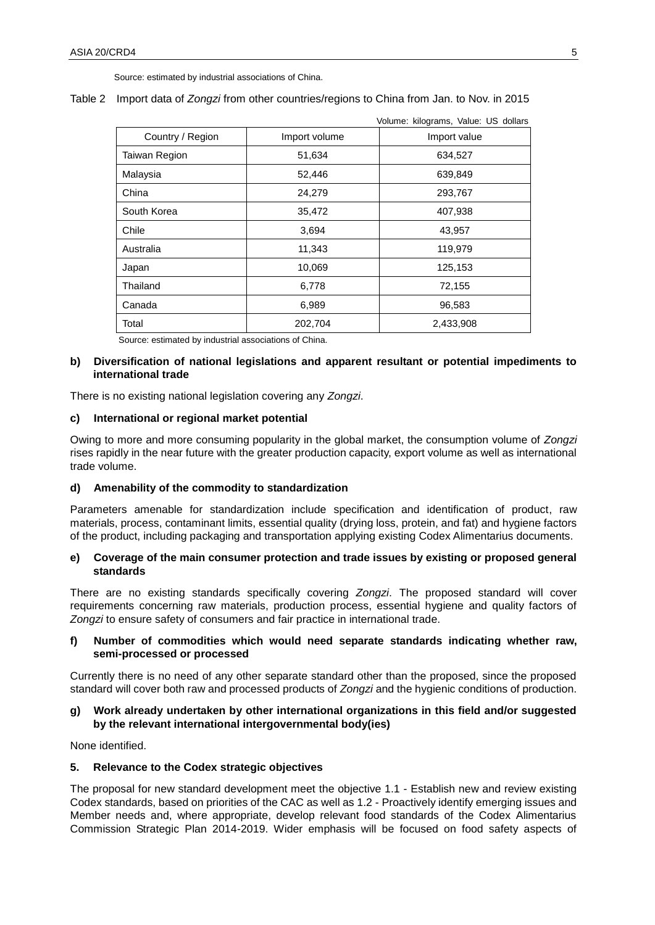Source: estimated by industrial associations of China.

#### Table 2 Import data of *Zongzi* from other countries/regions to China from Jan. to Nov. in 2015

|                  |               | VUIUITE. NIUGIAITIS, VAIUE. US UUIIAIS |
|------------------|---------------|----------------------------------------|
| Country / Region | Import volume | Import value                           |
| Taiwan Region    | 51,634        | 634,527                                |
| Malaysia         | 52,446        | 639,849                                |
| China            | 24,279        | 293,767                                |
| South Korea      | 35,472        | 407,938                                |
| Chile            | 3,694         | 43,957                                 |
| Australia        | 11,343        | 119,979                                |
| Japan            | 10,069        | 125,153                                |
| Thailand         | 6,778         | 72,155                                 |
| Canada           | 6,989         | 96,583                                 |
| Total            | 202,704       | 2,433,908                              |

Source: estimated by industrial associations of China.

## **b) Diversification of national legislations and apparent resultant or potential impediments to international trade**

There is no existing national legislation covering any *Zongzi*.

### **c) International or regional market potential**

Owing to more and more consuming popularity in the global market, the consumption volume of *Zongzi* rises rapidly in the near future with the greater production capacity, export volume as well as international trade volume.

### **d) Amenability of the commodity to standardization**

Parameters amenable for standardization include specification and identification of product, raw materials, process, contaminant limits, essential quality (drying loss, protein, and fat) and hygiene factors of the product, including packaging and transportation applying existing Codex Alimentarius documents.

### **e) Coverage of the main consumer protection and trade issues by existing or proposed general standards**

There are no existing standards specifically covering *Zongzi*. The proposed standard will cover requirements concerning raw materials, production process, essential hygiene and quality factors of *Zongzi* to ensure safety of consumers and fair practice in international trade.

## **f) Number of commodities which would need separate standards indicating whether raw, semi-processed or processed**

Currently there is no need of any other separate standard other than the proposed, since the proposed standard will cover both raw and processed products of *Zongzi* and the hygienic conditions of production.

### **g) Work already undertaken by other international organizations in this field and/or suggested by the relevant international intergovernmental body(ies)**

None identified.

### **5. Relevance to the Codex strategic objectives**

The proposal for new standard development meet the objective 1.1 - Establish new and review existing Codex standards, based on priorities of the CAC as well as 1.2 - Proactively identify emerging issues and Member needs and, where appropriate, develop relevant food standards of the Codex Alimentarius Commission Strategic Plan 2014-2019. Wider emphasis will be focused on food safety aspects of

Volume: kilograms, Value: US dollars